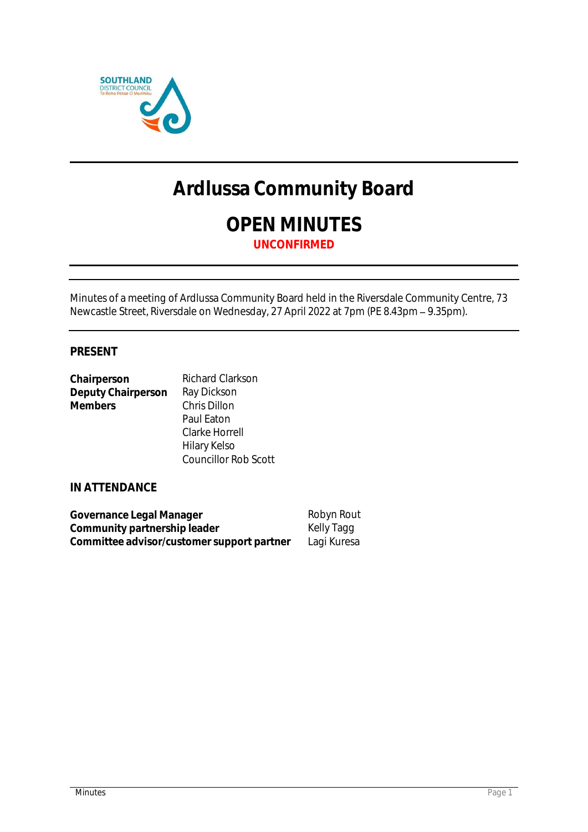

# **Ardlussa Community Board**

**OPEN MINUTES UNCONFIRMED**

Minutes of a meeting of Ardlussa Community Board held in the Riversdale Community Centre, 73 Newcastle Street, Riversdale on Wednesday, 27 April 2022 at 7pm (PE 8.43pm – 9.35pm).

## **PRESENT**

| Chairperson        | Richard Clarkson            |
|--------------------|-----------------------------|
| Deputy Chairperson | Ray Dickson                 |
| <b>Members</b>     | Chris Dillon                |
|                    | Paul Eaton                  |
|                    | Clarke Horrell              |
|                    | Hilary Kelso                |
|                    | <b>Councillor Rob Scott</b> |

#### **IN ATTENDANCE**

| Governance Legal Manager                   | Robyn Rout  |
|--------------------------------------------|-------------|
| Community partnership leader               | Kelly Tagg  |
| Committee advisor/customer support partner | Lagi Kuresa |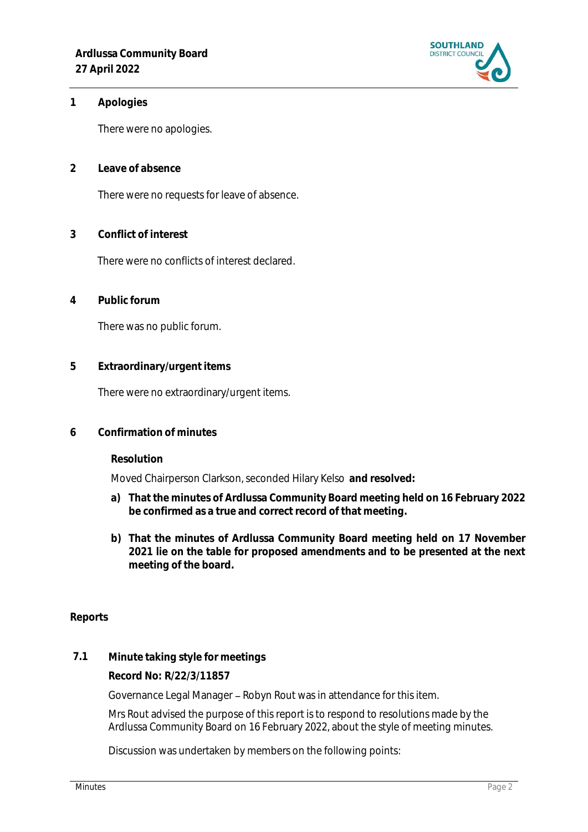

**1 Apologies** 

There were no apologies.

**2 Leave of absence** 

There were no requests for leave of absence.

**3 Conflict of interest**

There were no conflicts of interest declared.

**4 Public forum**

There was no public forum.

**5 Extraordinary/urgent items**

There were no extraordinary/urgent items.

**6 Confirmation of minutes**

**Resolution**

Moved Chairperson Clarkson, seconded Hilary Kelso **and resolved:**

- **a) That the minutes of Ardlussa Community Board meeting held on 16 February 2022 be confirmed as a true and correct record of that meeting.**
- **b) That the minutes of Ardlussa Community Board meeting held on 17 November 2021 lie on the table for proposed amendments and to be presented at the next meeting of the board.**

#### **Reports**

**7.1 Minute taking style for meetings**

**Record No: R/22/3/11857**

Governance Legal Manager - Robyn Rout was in attendance for this item.

Mrs Rout advised the purpose of this report is to respond to resolutions made by the Ardlussa Community Board on 16 February 2022, about the style of meeting minutes.

Discussion was undertaken by members on the following points: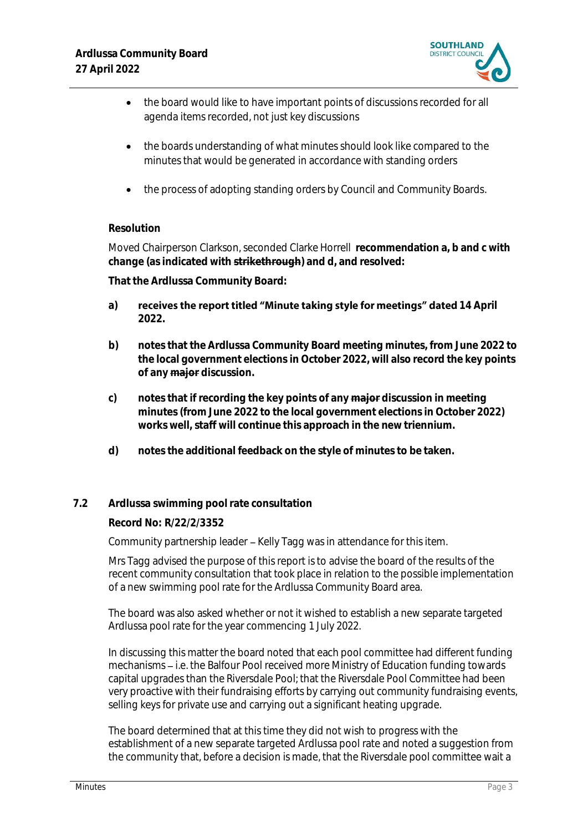

- the board would like to have important points of discussions recorded for all agenda items recorded, not just key discussions
- the boards understanding of what minutes should look like compared to the minutes that would be generated in accordance with standing orders
- the process of adopting standing orders by Council and Community Boards.

# **Resolution**

Moved Chairperson Clarkson, seconded Clarke Horrell **recommendation a, b and c with change (as indicated with strikethrough) and d, and resolved:**

**That the Ardlussa Community Board:**

- a) **receives the report titled "Minute taking style for meetings" dated 14 April 2022.**
- **b) notes that the Ardlussa Community Board meeting minutes, from June 2022 to the local government elections in October 2022, will also record the key points of any major discussion.**
- **c) notes that if recording the key points of any major discussion in meeting minutes (from June 2022 to the local government elections in October 2022) works well, staff will continue this approach in the new triennium.**
- **d) notes the additional feedback on the style of minutes to be taken.**

## **7.2 Ardlussa swimming pool rate consultation**

## **Record No: R/22/2/3352**

Community partnership leader - Kelly Tagg was in attendance for this item.

1 Mrs Tagg advised the purpose of this report is to advise the board of the results of the recent community consultation that took place in relation to the possible implementation of a new swimming pool rate for the Ardlussa Community Board area.

The board was also asked whether or not it wished to establish a new separate targeted Ardlussa pool rate for the year commencing 1 July 2022.

In discussing this matter the board noted that each pool committee had different funding mechanisms – i.e. the Balfour Pool received more Ministry of Education funding towards capital upgrades than the Riversdale Pool; that the Riversdale Pool Committee had been very proactive with their fundraising efforts by carrying out community fundraising events, selling keys for private use and carrying out a significant heating upgrade.

The board determined that at this time they did not wish to progress with the establishment of a new separate targeted Ardlussa pool rate and noted a suggestion from the community that, before a decision is made, that the Riversdale pool committee wait a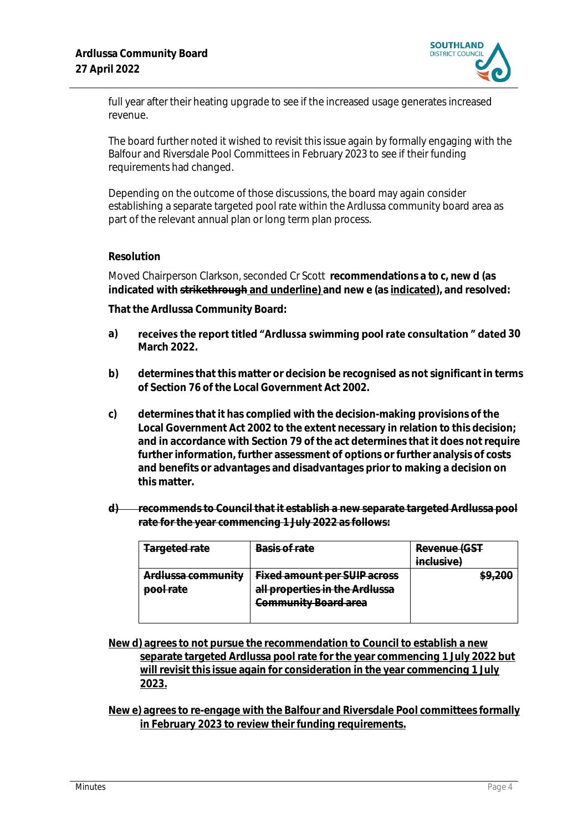

full year after their heating upgrade to see if the increased usage generates increased revenue.

The board further noted it wished to revisit this issue again by formally engaging with the Balfour and Riversdale Pool Committees in February 2023 to see if their funding requirements had changed.

Depending on the outcome of those discussions, the board may again consider establishing a separate targeted pool rate within the Ardlussa community board area as part of the relevant annual plan or long term plan process.

#### **Resolution**

Moved Chairperson Clarkson, seconded Cr Scott **recommendations a to c, new d (as indicated with strikethrough and underline) and new e (as indicated), and resolved:**

**That the Ardlussa Community Board:**

- a) receives the report titled "Ardlussa swimming pool rate consultation" dated 30 **March 2022.**
- **b) determines that this matter or decision be recognised as not significant in terms of Section 76 of the Local Government Act 2002.**
- **c) determines that it has complied with the decision-making provisions of the Local Government Act 2002 to the extent necessary in relation to this decision; and in accordance with Section 79 of the act determines that it does not require further information, further assessment of options or further analysis of costs and benefits or advantages and disadvantages prior to making a decision on this matter.**
- **d) recommends to Council that it establish a new separate targeted Ardlussa pool rate for the year commencing 1 July 2022 as follows:**

| Targeted rate                                       | Basis of rate                       | Revenue (GST |
|-----------------------------------------------------|-------------------------------------|--------------|
|                                                     |                                     | inclusive)   |
| Ardluceg community<br><del>Arulussa community</del> | <b>Fixed amount per SUIP across</b> |              |
| <del>pool rate</del>                                | all properties in the Ardlussa      |              |
|                                                     | Community Board area                |              |
|                                                     |                                     |              |

**New d) agrees to not pursue the recommendation to Council to establish a new separate targeted Ardlussa pool rate for the year commencing 1 July 2022 but will revisit this issue again for consideration in the year commencing 1 July 2023.**

**New e) agrees to re-engage with the Balfour and Riversdale Pool committees formally in February 2023 to review their funding requirements.**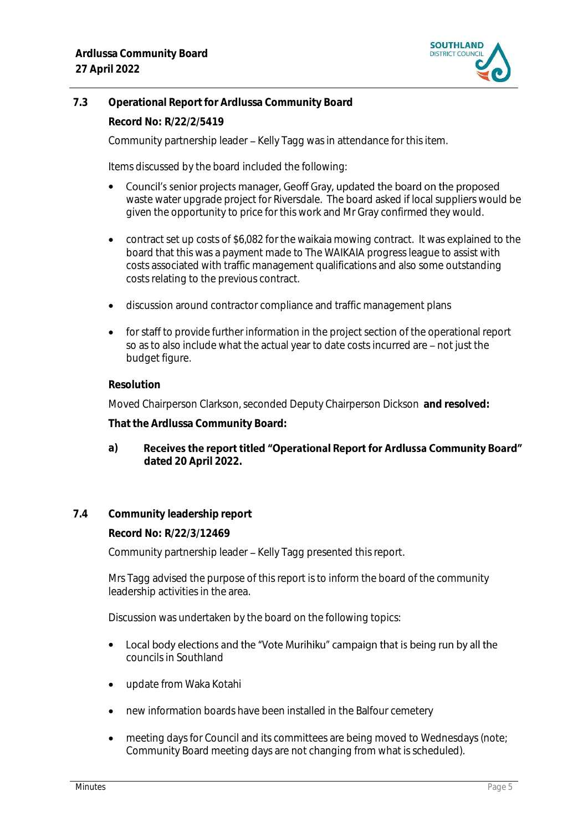

# **7.3 Operational Report for Ardlussa Community Board**

**Record No: R/22/2/5419**

Community partnership leader – Kelly Tagg was in attendance for this item.

Items discussed by the board included the following:

- Council's senior projects manager, Geoff Gray, updated the board on the proposed waste water upgrade project for Riversdale. The board asked if local suppliers would be given the opportunity to price for this work and Mr Gray confirmed they would.
- contract set up costs of \$6,082 for the waikaia mowing contract. It was explained to the board that this was a payment made to The WAIKAIA progress league to assist with costs associated with traffic management qualifications and also some outstanding costs relating to the previous contract.
- discussion around contractor compliance and traffic management plans
- for staff to provide further information in the project section of the operational report so as to also include what the actual year to date costs incurred are - not just the budget figure.

#### **Resolution**

Moved Chairperson Clarkson, seconded Deputy Chairperson Dickson **and resolved:**

**That the Ardlussa Community Board:**

- Receives the report titled "Operational Report for Ardlussa Community Board" **a) dated 20 April 2022.**
- **7.4 Community leadership report**

**Record No: R/22/3/12469**

Community partnership leader - Kelly Tagg presented this report.

Mrs Tagg advised the purpose of this report is to inform the board of the community leadership activities in the area.

Discussion was undertaken by the board on the following topics:

- Local body elections and the "Vote Murihiku" campaign that is being run by all the councils in Southland
- update from Waka Kotahi
- new information boards have been installed in the Balfour cemetery
- meeting days for Council and its committees are being moved to Wednesdays (note; Community Board meeting days are not changing from what is scheduled).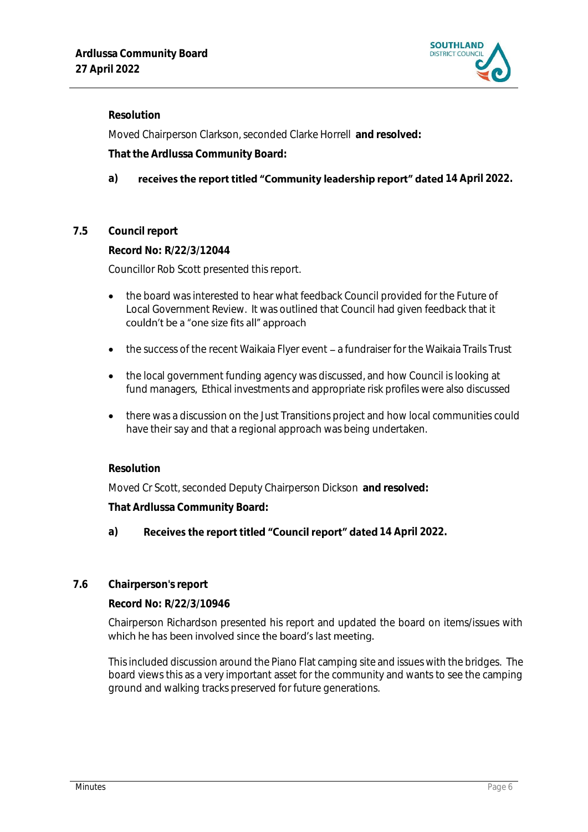

#### **Resolution**

Moved Chairperson Clarkson, seconded Clarke Horrell **and resolved:**

**That the Ardlussa Community Board:**

# a) **receives the report titled "Community leadership report" dated 14 April 2022.**

## **7.5 Council report**

**Record No: R/22/3/12044** Councillor Rob Scott presented this report.

- the board was interested to hear what feedback Council provided for the Future of Local Government Review. It was outlined that Council had given feedback that it couldn't be a "one size fits all" approach
- the success of the recent Waikaia Flyer event a fundraiser for the Waikaia Trails Trust
- the local government funding agency was discussed, and how Council is looking at fund managers, Ethical investments and appropriate risk profiles were also discussed
- there was a discussion on the Just Transitions project and how local communities could have their say and that a regional approach was being undertaken.

## **Resolution**

Moved Cr Scott, seconded Deputy Chairperson Dickson **and resolved:**

**That Ardlussa Community Board:**

## a) **Receives the report titled "Council report" dated 14 April 2022.**

## **7.6 Chairperson's report**

**Record No: R/22/3/10946**

Chairperson Richardson presented his report and updated the board on items/issues with which he has been involved since the board's last meeting.

This included discussion around the Piano Flat camping site and issues with the bridges. The board views this as a very important asset for the community and wants to see the camping ground and walking tracks preserved for future generations.